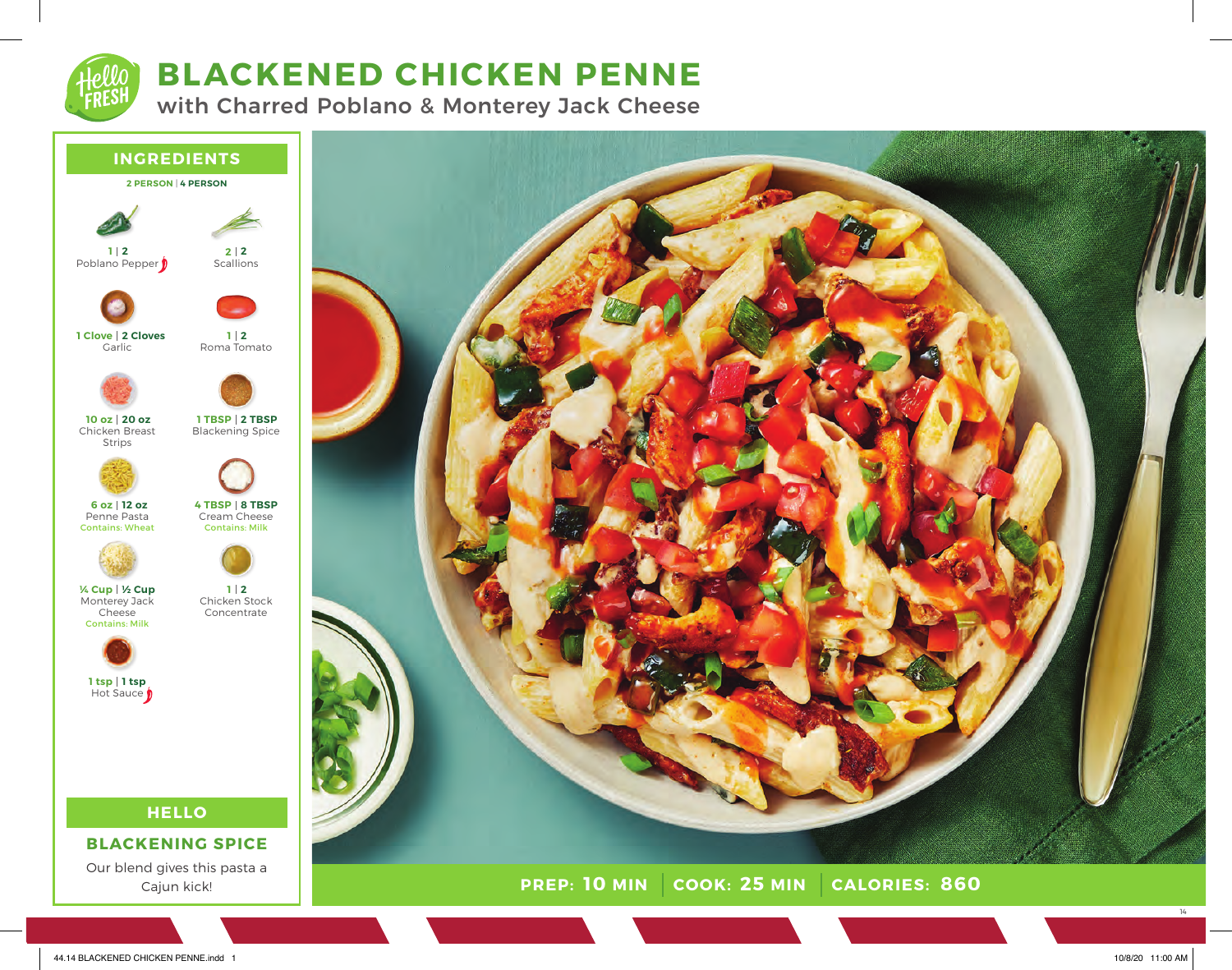# **BLACKENED CHICKEN PENNE**

with Charred Poblano & Monterey Jack Cheese



**PREP: COOK: CALORIES: 10 MIN 25 MIN 860**

14